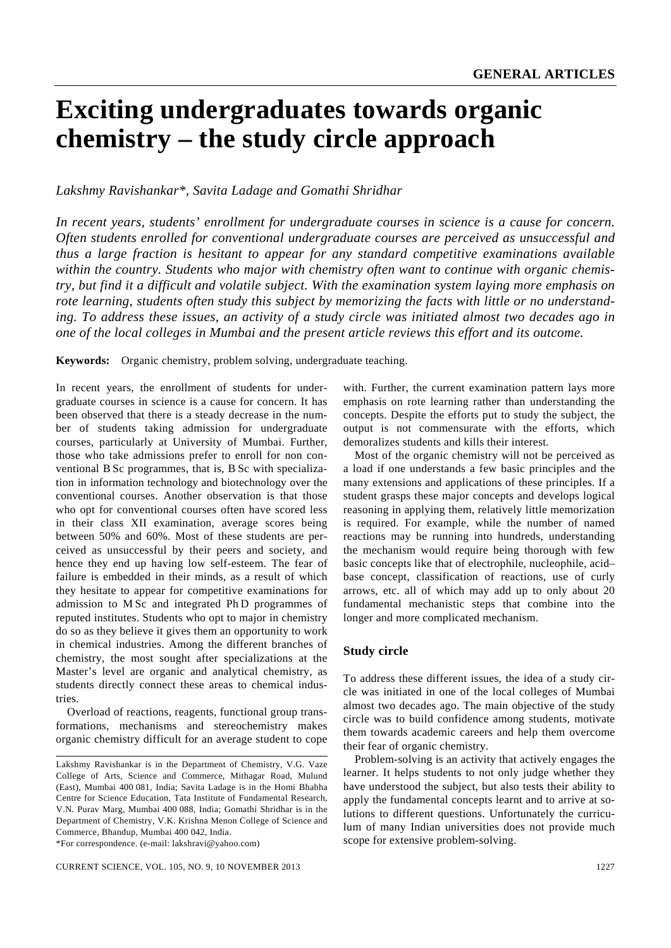# **Exciting undergraduates towards organic chemistry – the study circle approach**

*Lakshmy Ravishankar\*, Savita Ladage and Gomathi Shridhar*

*In recent years, students' enrollment for undergraduate courses in science is a cause for concern. Often students enrolled for conventional undergraduate courses are perceived as unsuccessful and thus a large fraction is hesitant to appear for any standard competitive examinations available within the country. Students who major with chemistry often want to continue with organic chemistry, but find it a difficult and volatile subject. With the examination system laying more emphasis on rote learning, students often study this subject by memorizing the facts with little or no understanding. To address these issues, an activity of a study circle was initiated almost two decades ago in one of the local colleges in Mumbai and the present article reviews this effort and its outcome.* 

**Keywords:** Organic chemistry, problem solving, undergraduate teaching.

In recent years, the enrollment of students for undergraduate courses in science is a cause for concern. It has been observed that there is a steady decrease in the number of students taking admission for undergraduate courses, particularly at University of Mumbai. Further, those who take admissions prefer to enroll for non conventional B Sc programmes, that is, B Sc with specialization in information technology and biotechnology over the conventional courses. Another observation is that those who opt for conventional courses often have scored less in their class XII examination, average scores being between 50% and 60%. Most of these students are perceived as unsuccessful by their peers and society, and hence they end up having low self-esteem. The fear of failure is embedded in their minds, as a result of which they hesitate to appear for competitive examinations for admission to M Sc and integrated Ph D programmes of reputed institutes. Students who opt to major in chemistry do so as they believe it gives them an opportunity to work in chemical industries. Among the different branches of chemistry, the most sought after specializations at the Master's level are organic and analytical chemistry, as students directly connect these areas to chemical industries.

 Overload of reactions, reagents, functional group transformations, mechanisms and stereochemistry makes organic chemistry difficult for an average student to cope

\*For correspondence. (e-mail: lakshravi@yahoo.com)

with. Further, the current examination pattern lays more emphasis on rote learning rather than understanding the concepts. Despite the efforts put to study the subject, the output is not commensurate with the efforts, which demoralizes students and kills their interest.

 Most of the organic chemistry will not be perceived as a load if one understands a few basic principles and the many extensions and applications of these principles. If a student grasps these major concepts and develops logical reasoning in applying them, relatively little memorization is required. For example, while the number of named reactions may be running into hundreds, understanding the mechanism would require being thorough with few basic concepts like that of electrophile, nucleophile, acid– base concept, classification of reactions, use of curly arrows, etc. all of which may add up to only about 20 fundamental mechanistic steps that combine into the longer and more complicated mechanism.

## **Study circle**

To address these different issues, the idea of a study circle was initiated in one of the local colleges of Mumbai almost two decades ago. The main objective of the study circle was to build confidence among students, motivate them towards academic careers and help them overcome their fear of organic chemistry.

 Problem-solving is an activity that actively engages the learner. It helps students to not only judge whether they have understood the subject, but also tests their ability to apply the fundamental concepts learnt and to arrive at solutions to different questions. Unfortunately the curriculum of many Indian universities does not provide much scope for extensive problem-solving.

Lakshmy Ravishankar is in the Department of Chemistry, V.G. Vaze College of Arts, Science and Commerce, Mithagar Road, Mulund (East), Mumbai 400 081, India; Savita Ladage is in the Homi Bhabha Centre for Science Education, Tata Institute of Fundamental Research, V.N. Purav Marg, Mumbai 400 088, India; Gomathi Shridhar is in the Department of Chemistry, V.K. Krishna Menon College of Science and Commerce, Bhandup, Mumbai 400 042, India.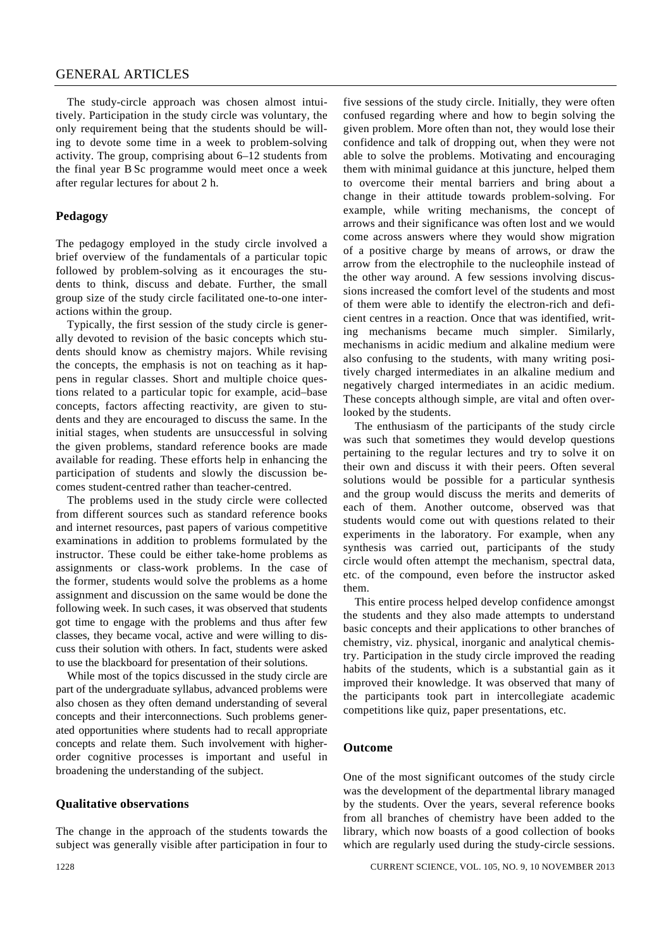## GENERAL ARTICLES

 The study-circle approach was chosen almost intuitively. Participation in the study circle was voluntary, the only requirement being that the students should be willing to devote some time in a week to problem-solving activity. The group, comprising about 6–12 students from the final year B Sc programme would meet once a week after regular lectures for about 2 h.

# **Pedagogy**

The pedagogy employed in the study circle involved a brief overview of the fundamentals of a particular topic followed by problem-solving as it encourages the students to think, discuss and debate. Further, the small group size of the study circle facilitated one-to-one interactions within the group.

 Typically, the first session of the study circle is generally devoted to revision of the basic concepts which students should know as chemistry majors. While revising the concepts, the emphasis is not on teaching as it happens in regular classes. Short and multiple choice questions related to a particular topic for example, acid–base concepts, factors affecting reactivity, are given to students and they are encouraged to discuss the same. In the initial stages, when students are unsuccessful in solving the given problems, standard reference books are made available for reading. These efforts help in enhancing the participation of students and slowly the discussion becomes student-centred rather than teacher-centred.

 The problems used in the study circle were collected from different sources such as standard reference books and internet resources, past papers of various competitive examinations in addition to problems formulated by the instructor. These could be either take-home problems as assignments or class-work problems. In the case of the former, students would solve the problems as a home assignment and discussion on the same would be done the following week. In such cases, it was observed that students got time to engage with the problems and thus after few classes, they became vocal, active and were willing to discuss their solution with others. In fact, students were asked to use the blackboard for presentation of their solutions.

 While most of the topics discussed in the study circle are part of the undergraduate syllabus, advanced problems were also chosen as they often demand understanding of several concepts and their interconnections. Such problems generated opportunities where students had to recall appropriate concepts and relate them. Such involvement with higherorder cognitive processes is important and useful in broadening the understanding of the subject.

### **Qualitative observations**

The change in the approach of the students towards the subject was generally visible after participation in four to five sessions of the study circle. Initially, they were often confused regarding where and how to begin solving the given problem. More often than not, they would lose their confidence and talk of dropping out, when they were not able to solve the problems. Motivating and encouraging them with minimal guidance at this juncture, helped them to overcome their mental barriers and bring about a change in their attitude towards problem-solving. For example, while writing mechanisms, the concept of arrows and their significance was often lost and we would come across answers where they would show migration of a positive charge by means of arrows, or draw the arrow from the electrophile to the nucleophile instead of the other way around. A few sessions involving discussions increased the comfort level of the students and most of them were able to identify the electron-rich and deficient centres in a reaction. Once that was identified, writing mechanisms became much simpler. Similarly, mechanisms in acidic medium and alkaline medium were also confusing to the students, with many writing positively charged intermediates in an alkaline medium and negatively charged intermediates in an acidic medium. These concepts although simple, are vital and often overlooked by the students.

 The enthusiasm of the participants of the study circle was such that sometimes they would develop questions pertaining to the regular lectures and try to solve it on their own and discuss it with their peers. Often several solutions would be possible for a particular synthesis and the group would discuss the merits and demerits of each of them. Another outcome, observed was that students would come out with questions related to their experiments in the laboratory. For example, when any synthesis was carried out, participants of the study circle would often attempt the mechanism, spectral data, etc. of the compound, even before the instructor asked them.

 This entire process helped develop confidence amongst the students and they also made attempts to understand basic concepts and their applications to other branches of chemistry, viz. physical, inorganic and analytical chemistry. Participation in the study circle improved the reading habits of the students, which is a substantial gain as it improved their knowledge. It was observed that many of the participants took part in intercollegiate academic competitions like quiz, paper presentations, etc.

### **Outcome**

One of the most significant outcomes of the study circle was the development of the departmental library managed by the students. Over the years, several reference books from all branches of chemistry have been added to the library, which now boasts of a good collection of books which are regularly used during the study-circle sessions.